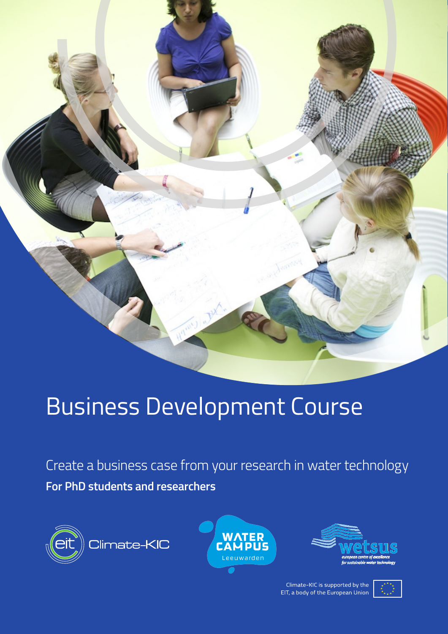

# Business Development Course

Create a business case from your research in water technology **For PhD students and researchers**







Climate-KIC is supported by the EIT, a body of the European Union

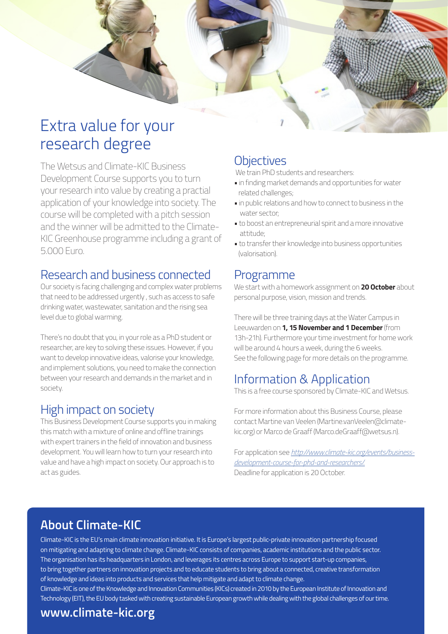

# Extra value for your research degree

The Wetsus and Climate-KIC Business Development Course supports you to turn your research into value by creating a practial application of your knowledge into society. The course will be completed with a pitch session and the winner will be admitted to the Climate-KIC Greenhouse programme including a grant of 5.000 Euro.

### Research and business connected

Our society is facing challenging and complex water problems that need to be addressed urgently , such as access to safe drinking water, wastewater, sanitation and the rising sea level due to global warming.

There's no doubt that you, in your role as a PhD student or researcher, are key to solving these issues. However, if you want to develop innovative ideas, valorise your knowledge, and implement solutions, you need to make the connection between your research and demands in the market and in society.

### High impact on society

This Business Development Course supports you in making this match with a mixture of online and offline trainings with expert trainers in the field of innovation and business development. You will learn how to turn your research into value and have a high impact on society. Our approach is to act as guides.

### **Objectives**

We train PhD students and researchers:

- in finding market demands and opportunities for water related challenges;
- in public relations and how to connect to business in the water sector;
- to boost an entrepreneurial spirit and a more innovative attitude;
- to transfer their knowledge into business opportunities (valorisation).

### Programme

We start with a homework assignment on **20 October** about personal purpose, vision, mission and trends.

There will be three training days at the Water Campus in Leeuwarden on **1, 15 November and 1 December** (from 13h-21h). Furthermore your time investment for home work will be around 4 hours a week, during the 6 weeks. See the following page for more details on the programme.

# Information & Application

This is a free course sponsored by Climate-KIC and Wetsus.

For more information about this Business Course, please contact Martine van Veelen (Martine.vanVeelen@climatekic.org) or Marco de Graaff (Marco.deGraaff@wetsus.n).

For application see *http://www.climate-kic.org/events/businessdevelopment-course-for-phd-and-researchers/*. Deadline for application is 20 October.

# **About Climate-KIC**

Climate-KIC is the EU's main climate innovation initiative. It is Europe's largest public-private innovation partnership focused on mitigating and adapting to climate change. Climate-KIC consists of companies, academic institutions and the public sector. The organisation has its headquarters in London, and leverages its centres across Europe to support start-up companies, to bring together partners on innovation projects and to educate students to bring about a connected, creative transformation of knowledge and ideas into products and services that help mitigate and adapt to climate change. Climate-KIC is one of the Knowledge and Innovation Communities (KICs) created in 2010 by the European Institute of Innovation and Technology (EIT), the EU body tasked with creating sustainable European growth while dealing with the global challenges of our time.

### **www.climate-kic.org**